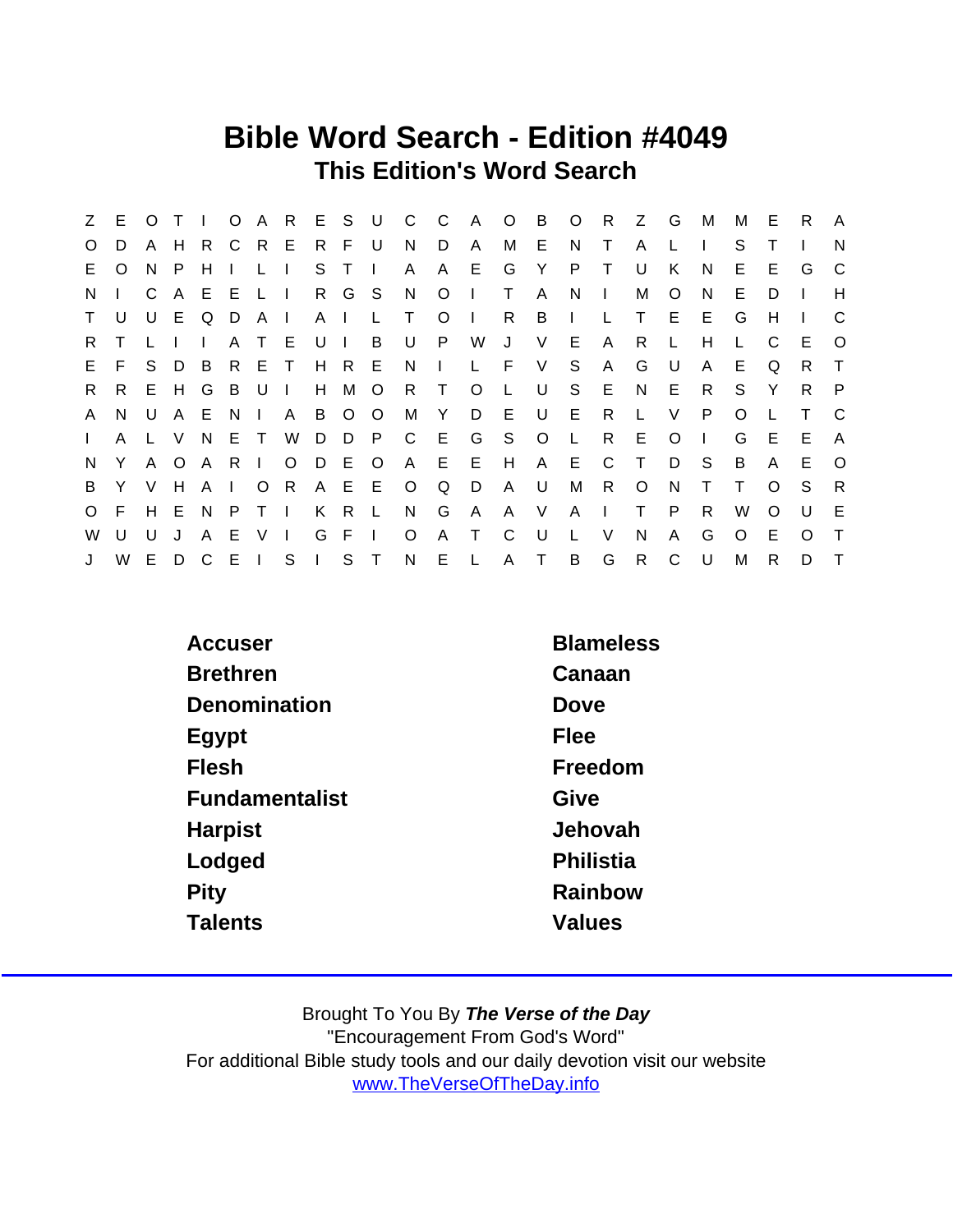### Bible Word Search - Edition #4049 This Edition's Word Search

|              | Z E          |    |       | $O$ T I      |              |               |                   |   |           |         | O A R E S U C C       |          | A O B O R Z G       |              |         |                |              |              |              | M            | M            | Е        | R.           | $\mathsf{A}$ |
|--------------|--------------|----|-------|--------------|--------------|---------------|-------------------|---|-----------|---------|-----------------------|----------|---------------------|--------------|---------|----------------|--------------|--------------|--------------|--------------|--------------|----------|--------------|--------------|
| $\circ$      | D            |    |       |              |              |               | A H R C R E R F U |   |           |         | N D                   |          | A                   | M E          |         | N.             | $\top$       | A            |              | $\Box$       | S.           |          |              | N            |
| E.           | $\circ$      | N. | - P   | H            | $\mathbf{L}$ | $L \parallel$ |                   |   | S T I     |         | $\mathsf{A}$          | A        | E G                 |              |         | Y P T          |              | U            | K            | N.           | E.           | E        | G            | C.           |
| N.           |              |    |       | CAEELI       |              |               |                   |   |           |         | R G S N O             |          | $\mathbf{1}$        | $\top$       | A       | - N            | $\sim 1$ .   | M            | $\circ$      | <sub>N</sub> | E.           | D        |              | H            |
| $\mathsf{T}$ | U            |    |       | U E Q D      |              | A I           |                   |   |           | A I L T |                       | $\circ$  | $\mathbb{R}$        | R            |         | $B \quad 1$    | $\mathsf{L}$ | $\top$       | E            | -E           | G            | H        | $\mathbf{I}$ |              |
| R.           |              | L. |       |              |              |               | A T E U I B       |   |           |         |                       |          | U P W               | J            | V E     |                | $\mathsf{A}$ | R.           | L            | H            | L.           | C        | E            | $\circ$      |
| E            | F.           |    | S D B |              |              | R E T         |                   |   |           | H R E   |                       | $N \mid$ |                     |              | L F V   | S.             | $\mathsf{A}$ | G            | U .          | $\mathsf{A}$ | E.           | Q        | R T          |              |
| R.           | R            |    | E H G |              | BU.          |               | $\Box$            |   | H M O     |         |                       |          | R T O L             |              |         | USE            |              | N            | E.           | - R          | S.           | Y        | R.           | P            |
| $\mathsf{A}$ | N.           |    |       |              |              |               | U A E N I A B O O |   |           |         |                       | M Y      |                     |              | D E U E |                | R.           | $\mathsf{L}$ | $\vee$       | P            | $\circ$      |          | $\top$       | - C          |
| $\mathbf{L}$ | $\mathsf{A}$ |    | L V   | N            |              | ET            |                   |   |           |         |                       |          | W D D P C E G S O L |              |         |                | R            | E            | $\circ$      | $\mathbf{1}$ | G            | Е        | E.           | A            |
| N,           | Y            |    |       |              |              |               | A O A R I O D E O |   |           |         |                       |          | A E E H             |              |         | A E C          |              | $\top$       | D            | - S          | B            | A        | E            | $\Omega$     |
| B            |              |    |       |              |              |               |                   |   |           |         | Y V H A I O R A E E O | <b>Q</b> | D                   | $\mathsf{A}$ | U       | М              | R.           | $\circ$      | N            | $\top$       | $\mathsf{T}$ | $\Omega$ | S.           | R            |
| $\circ$      | F.           |    |       |              |              |               | H E N P T I K R L |   |           |         | N G                   |          | A                   |              |         | A V A I        |              | T.           | P            | R.           | W            | $\Omega$ | U            | E            |
| W            | U            | U  | J     | $\mathsf{A}$ | -E.          |               | V <sub>1</sub>    | G | $F \perp$ |         | $\circ$               |          | A T                 | $\mathbf{C}$ | U       | $\mathsf{L}$   | V            | N            | $\mathsf{A}$ | G            | O            | Е        | $\Omega$     | $\top$       |
| J            | W            |    | E D C |              |              |               |                   |   |           |         | EISIST NEL            |          |                     |              | A T     | $\overline{B}$ | G            | R            | C            | U U          | М            | R.       | D            | $\top$       |

| Accuser         | <b>Blameless</b> |
|-----------------|------------------|
| <b>Brethren</b> | Canaan           |
| Denomination    | Dove             |
| Egypt           | Flee             |
| <b>Flesh</b>    | Freedom          |
| Fundamentalist  | Give             |
| Harpist         | Jehovah          |
| Lodged          | Philistia        |
| Pity            | Rainbow          |
| <b>Talents</b>  | Values           |
|                 |                  |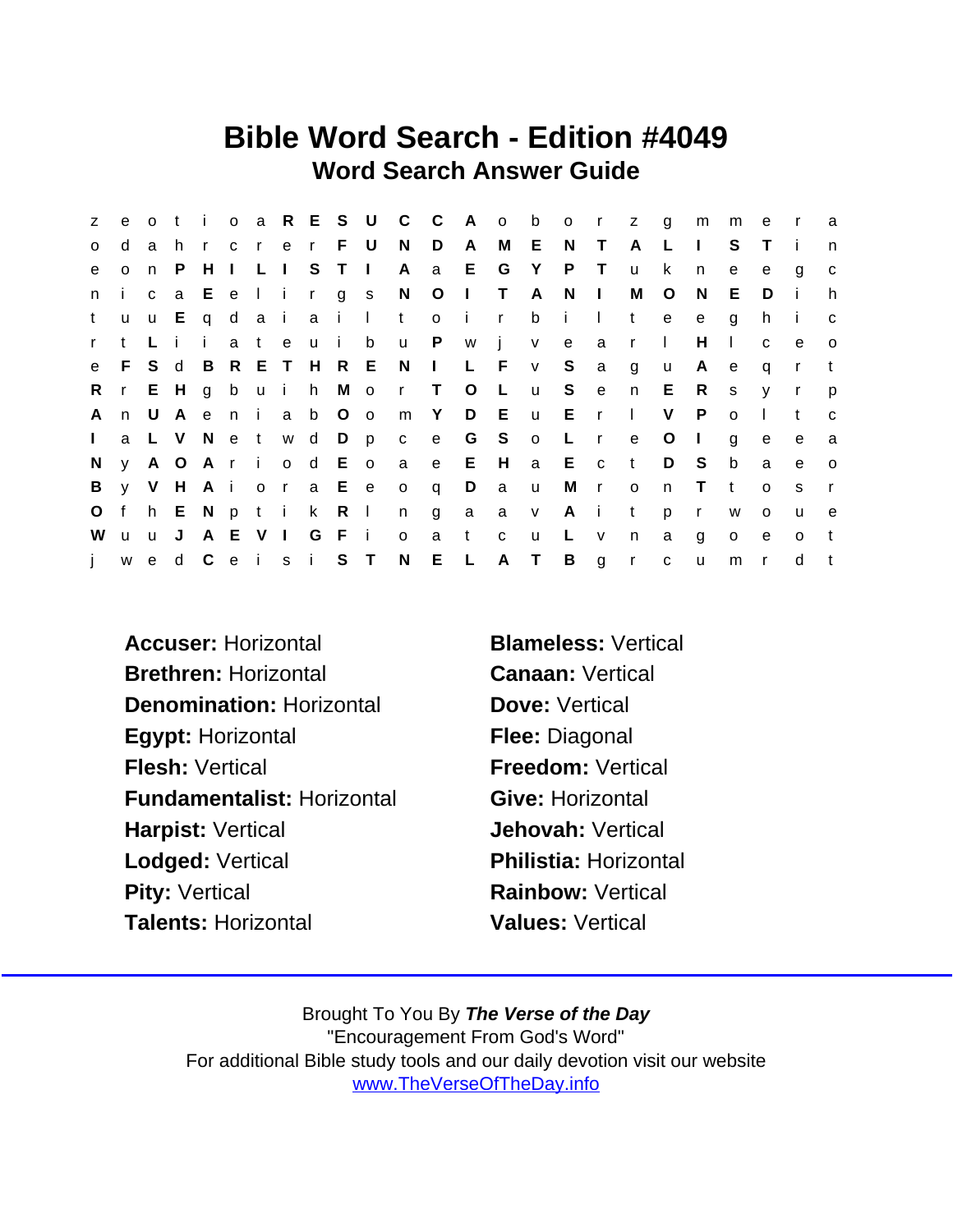### Bible Word Search - Edition #4049 Word Search Answer Guide

| Z.           | e            |     |      |              |     |       |                     |                     | o t i o a R E S U C C         |                |              |              |              | A o b o r z    |            |              | $\alpha$     | m            | m            | e            | $\mathsf{r}$   | a            |
|--------------|--------------|-----|------|--------------|-----|-------|---------------------|---------------------|-------------------------------|----------------|--------------|--------------|--------------|----------------|------------|--------------|--------------|--------------|--------------|--------------|----------------|--------------|
| $\circ$      | d            | a   | h.   |              |     |       | r c r e r F U       |                     | N D                           |                | A            |              | M E          | N T            |            | $\mathsf{A}$ | L            | $\mathbf{I}$ | S.           |              |                | n            |
| e            | $\mathsf{o}$ | n   | P.   | H            |     |       | I L I S T I         |                     | A                             | a E            |              | G            | $\mathsf{Y}$ |                | P T        | $\mathsf{u}$ | k            | n            | e            | e            | g              | $\mathbf C$  |
| n.           | j.           |     |      |              |     |       |                     |                     | ca Eelirgs NOITA              |                |              |              |              | $N$ $\perp$    |            | M            | $\circ$      | N            | E.           | D            | $\blacksquare$ | h.           |
| t            | <b>u</b>     |     |      |              |     |       |                     | u E q d a i a i l t |                               |                | o i r        |              | b            | $\sim 1$ .     | $\sim 1$ . | t            | e            | $\mathbf{e}$ | q            | h.           |                | $\mathbf{C}$ |
| $\mathbf{r}$ | t            | Li  |      | $\mathbf{I}$ | a t | e u i |                     | b                   | u P w j v e                   |                |              |              |              |                | a a        | $\mathsf{r}$ | $\mathbf{I}$ | H            | $\mathbf{I}$ | $\mathbf{C}$ | e.             | $\circ$      |
| e            | E.           | S d |      |              |     |       |                     | B R E T H R E N     |                               | $\sim 1$ .     |              | L F v        |              | S              | a a        | g            | $\mathsf{u}$ | A            | e            | q            | $\mathsf{r}$   |              |
| R            |              |     |      |              |     |       |                     |                     | r E H g b u i h M o r T O L   |                |              |              | <b>u</b>     | S e            |            | n            | E R          |              | S            | V            | $\mathsf{r}$   | $\mathsf{p}$ |
| A            | n            |     | UA e |              |     |       | nia b Oo            |                     |                               |                |              | m Y D E u    |              | E r            |            | $\mathbf{L}$ | V            | P.           | $\Omega$     |              | t              | C            |
| $\mathbf{L}$ |              |     |      |              |     |       |                     |                     | a L V N e t w d D p c e G S o |                |              |              |              | L r            |            | $\mathbf{e}$ | $\circ$      | $\perp$      | q            | e            | e              | a            |
| N            |              |     |      |              |     |       |                     |                     | y A O A r i o d E o a e E H   |                |              |              |              | a E c t        |            |              | D S          |              | b            | a            | e              | $\mathbf{o}$ |
| B            |              |     |      |              |     |       |                     |                     | y V H A i ora E e o q         |                | D            | a u          |              |                | Mr o       |              | n            | $\top$       | $\mathbf{t}$ | $\Omega$     | S.             |              |
| $\circ$      |              |     |      |              |     |       | f h E N p t i k R I |                     | n                             | $\overline{g}$ | $\mathsf{a}$ |              | a v          |                | A i t      |              | p            | $\mathbf{r}$ | W            | $\Omega$     | u              | e,           |
| W            | uu J         |     |      |              |     |       | A E V I G F i       |                     | $\circ$                       | a              | t.           | $\mathbf{C}$ | u            | L v            |            | n            | a            | g            | $\circ$      | e            | $\Omega$       | t            |
| j.           |              |     |      |              |     |       | wed Ceisi ST        |                     | N E L                         |                |              | A T          |              | $\overline{B}$ | g r        |              | $\mathbf C$  | $\mathsf{u}$ | m            | $\mathsf{r}$ | d              |              |

Accuser: Horizontal Blameless: Vertical Brethren: Horizontal Canaan: Vertical Denomination: Horizontal **Dove: Vertical** Egypt: Horizontal Flee: Diagonal Flesh: Vertical **Freedom: Vertical** Fundamentalist: Horizontal Give: Horizontal Harpist: Vertical **Harpist: Vertical** Lodged: Vertical **Philistia: Horizontal** Pity: Vertical **Rainbow: Vertical** Rainbow: Vertical Talents: Horizontal Values: Vertical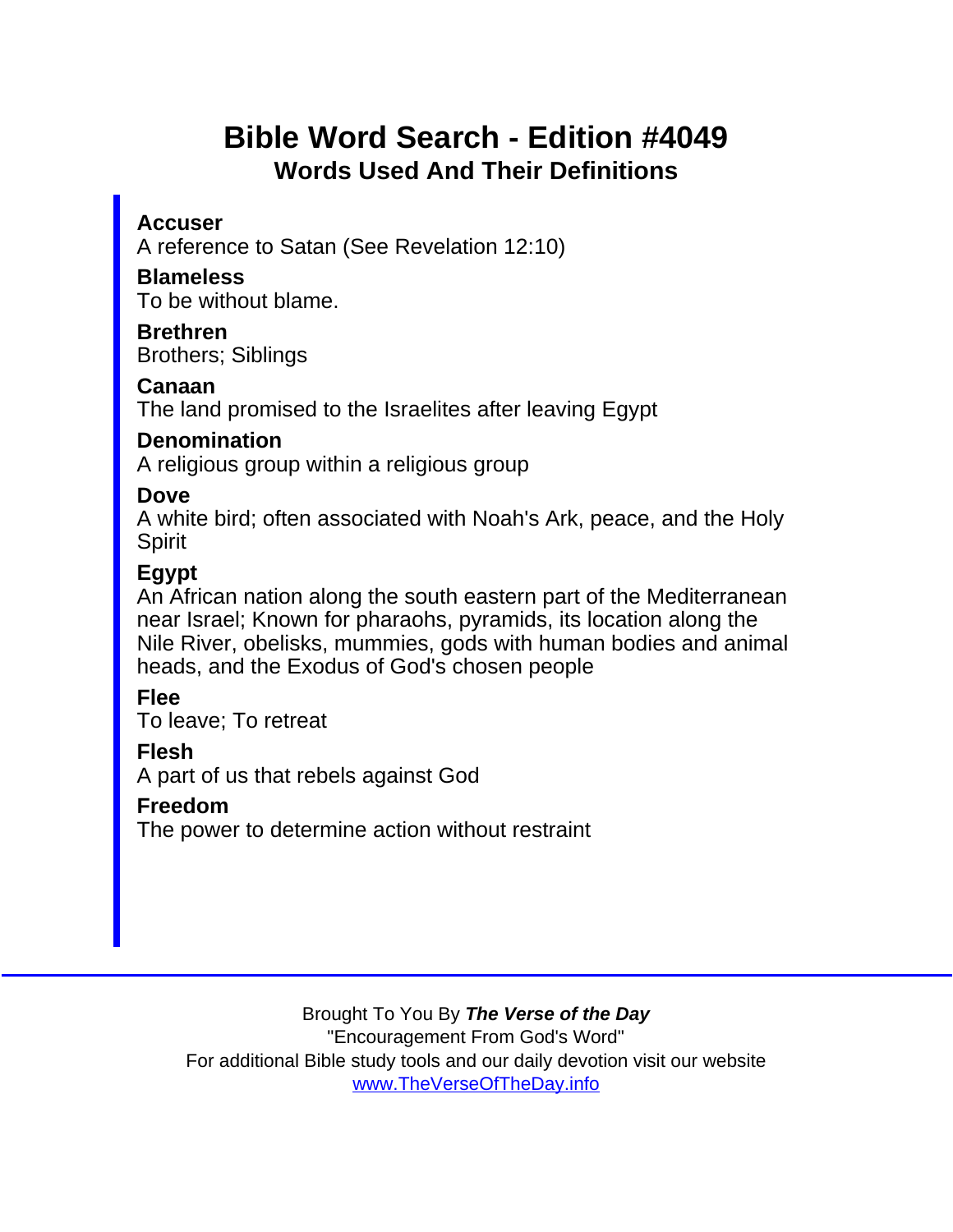# Bible Word Search - Edition #4049 Words Used And Their Definitions

**Accuser** 

A reference to Satan (See Revelation 12:10)

**Blameless** To be without blame.

Brethren Brothers; Siblings

Canaan The land promised to the Israelites after leaving Egypt

**Denomination** 

A religious group within a religious group

Dove

A white bird; often associated with Noah's Ark, peace, and the Holy Spirit

Egypt

An African nation along the south eastern part of the Mediterranean near Israel; Known for pharaohs, pyramids, its location along the Nile River, obelisks, mummies, gods with human bodies and animal heads, and the Exodus of God's chosen people

Flee

To leave; To retreat

Flesh

A part of us that rebels against God

Freedom

The power to determine action without restraint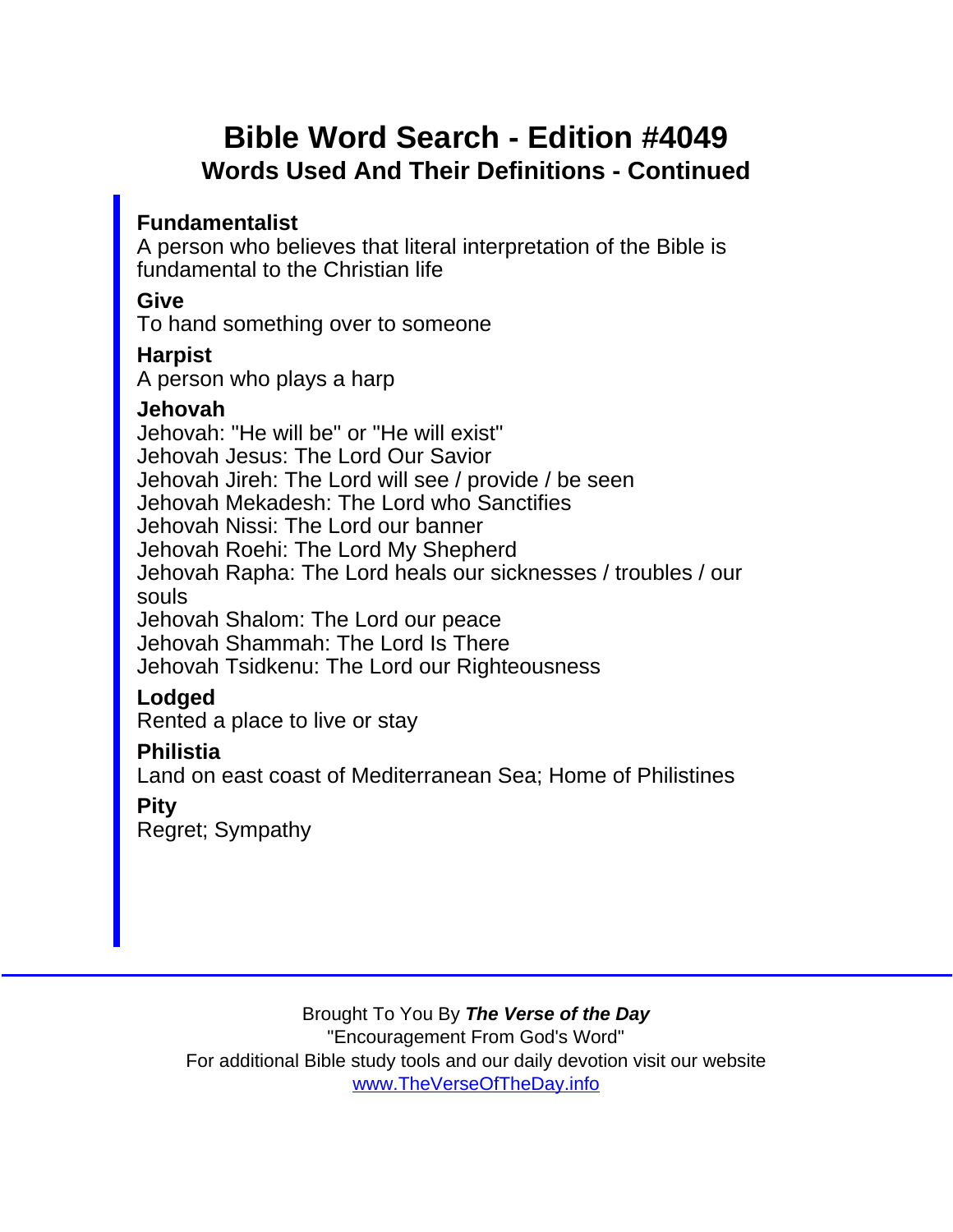# Bible Word Search - Edition #4049 Words Used And Their Definitions - Continued

Fundamentalist

A person who believes that literal interpretation of the Bible is fundamental to the Christian life

**Give** 

To hand something over to someone

**Harpist** 

A person who plays a harp

Jehovah Jehovah: "He will be" or "He will exist" Jehovah Jesus: The Lord Our Savior Jehovah Jireh: The Lord will see / provide / be seen Jehovah Mekadesh: The Lord who Sanctifies Jehovah Nissi: The Lord our banner Jehovah Roehi: The Lord My Shepherd Jehovah Rapha: The Lord heals our sicknesses / troubles / our souls Jehovah Shalom: The Lord our peace Jehovah Shammah: The Lord Is There Jehovah Tsidkenu: The Lord our Righteousness Lodged Rented a place to live or stay **Philistia** Land on east coast of Mediterranean Sea; Home of Philistines Pity

Regret; Sympathy